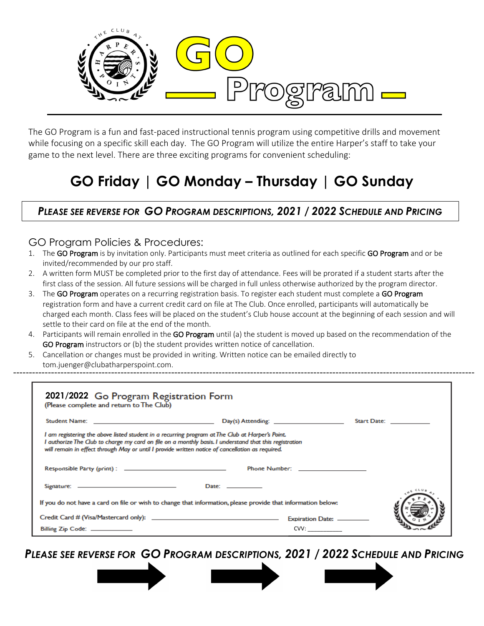

The GO Program is a fun and fast-paced instructional tennis program using competitive drills and movement while focusing on a specific skill each day. The GO Program will utilize the entire Harper's staff to take your game to the next level. There are three exciting programs for convenient scheduling:

# **GO Friday | GO Monday – Thursday | GO Sunday**

### *PLEASE SEE REVERSE FOR GO PROGRAM DESCRIPTIONS, 2021 / 2022 SCHEDULE AND PRICING*

#### GO Program Policies & Procedures:

- 1. The GO Program is by invitation only. Participants must meet criteria as outlined for each specific GO Program and or be invited/recommended by our pro staff.
- 2. A written form MUST be completed prior to the first day of attendance. Fees will be prorated if a student starts after the first class of the session. All future sessions will be charged in full unless otherwise authorized by the program director.
- 3. The GO Program operates on a recurring registration basis. To register each student must complete a GO Program registration form and have a current credit card on file at The Club. Once enrolled, participants will automatically be charged each month. Class fees will be placed on the student's Club house account at the beginning of each session and will settle to their card on file at the end of the month.
- 4. Participants will remain enrolled in the GO Program until (a) the student is moved up based on the recommendation of the GO Program instructors or (b) the student provides written notice of cancellation.
- 5. Cancellation or changes must be provided in writing. Written notice can be emailed directly to tom.juenger@clubatharperspoint.com.

| 2021/2022 Go Program Registration Form<br>(Please complete and return to The Club)                                                                                                                                                                                                                            |                                                                                                                |                          |  |
|---------------------------------------------------------------------------------------------------------------------------------------------------------------------------------------------------------------------------------------------------------------------------------------------------------------|----------------------------------------------------------------------------------------------------------------|--------------------------|--|
|                                                                                                                                                                                                                                                                                                               |                                                                                                                | Start Date: ____________ |  |
| I am registering the above listed student in a recurring program at The Club at Harper's Point.<br>I authorize The Club to charge my card on file on a monthly basis. I understand that this registration<br>will remain in effect through May or until I provide written notice of cancellation as required. |                                                                                                                |                          |  |
|                                                                                                                                                                                                                                                                                                               | Phone Number: The Commission of the Commission of the Commission of the Commission of the Commission of the Co |                          |  |
|                                                                                                                                                                                                                                                                                                               | Date: $\_\_\_\_\_\_\_\_\_\_\_\_\_\_$                                                                           |                          |  |
|                                                                                                                                                                                                                                                                                                               | If you do not have a card on file or wish to change that information, please provide that information below:   |                          |  |
|                                                                                                                                                                                                                                                                                                               |                                                                                                                |                          |  |
| Billing Zip Code: ____________                                                                                                                                                                                                                                                                                | CVV:                                                                                                           |                          |  |

*PLEASE SEE REVERSE FOR GO PROGRAM DESCRIPTIONS, 2021 / 2022 SCHEDULE AND PRICING*